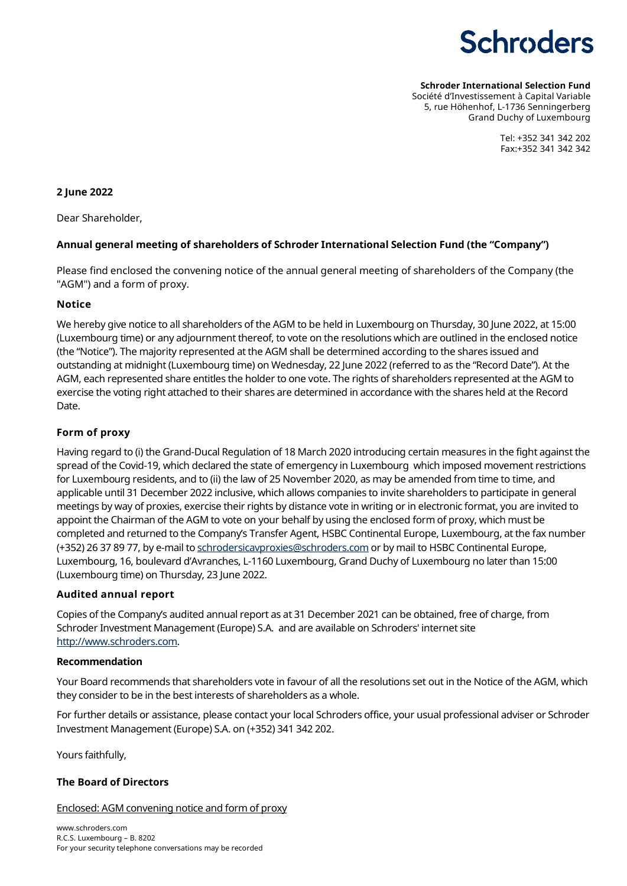**Schroder International Selection Fund**

Société d'Investissement à Capital Variable 5, rue Höhenhof, L-1736 Senningerberg Grand Duchy of Luxembourg

> Tel: +352 341 342 202 Fax:+352 341 342 342

## **2 June 2022**

Dear Shareholder,

## **Annual general meeting of shareholders of Schroder International Selection Fund (the "Company")**

Please find enclosed the convening notice of the annual general meeting of shareholders of the Company (the "AGM") and a form of proxy.

## **Notice**

We hereby give notice to all shareholders of the AGM to be held in Luxembourg on Thursday, 30 June 2022, at 15:00 (Luxembourg time) or any adjournment thereof, to vote on the resolutions which are outlined in the enclosed notice (the "Notice"). The majority represented at the AGM shall be determined according to the shares issued and outstanding at midnight (Luxembourg time) on Wednesday, 22 June 2022 (referred to as the "Record Date"). At the AGM, each represented share entitles the holder to one vote. The rights of shareholders represented at the AGM to exercise the voting right attached to their shares are determined in accordance with the shares held at the Record Date.

## **Form of proxy**

Having regard to (i) the Grand-Ducal Regulation of 18 March 2020 introducing certain measures in the fight against the spread of the Covid-19, which declared the state of emergency in Luxembourg which imposed movement restrictions for Luxembourg residents, and to (ii) the law of 25 November 2020, as may be amended from time to time, and applicable until 31 December 2022 inclusive, which allows companies to invite shareholders to participate in general meetings by way of proxies, exercise their rights by distance vote in writing or in electronic format, you are invited to appoint the Chairman of the AGM to vote on your behalf by using the enclosed form of proxy, which must be completed and returned to the Company's Transfer Agent, HSBC Continental Europe, Luxembourg, at the fax number (+352) 26 37 89 77, by e-mail to [schrodersicavproxies@schroders.com](mailto:schrodersicavproxies@schroders.com) or by mail to HSBC Continental Europe, Luxembourg, 16, boulevard d'Avranches, L-1160 Luxembourg, Grand Duchy of Luxembourg no later than 15:00 (Luxembourg time) on Thursday, 23 June 2022.

## **Audited annual report**

Copies of the Company's audited annual report as at 31 December 2021 can be obtained, free of charge, from Schroder Investment Management (Europe) S.A. and are available on Schroders' internet site [http://www.schroders.com.](http://www.schroders.com/)

## **Recommendation**

Your Board recommends that shareholders vote in favour of all the resolutions set out in the Notice of the AGM, which they consider to be in the best interests of shareholders as a whole.

For further details or assistance, please contact your local Schroders office, your usual professional adviser or Schroder Investment Management (Europe) S.A. on (+352) 341 342 202.

Yours faithfully,

## **The Board of Directors**

Enclosed: AGM convening notice and form of proxy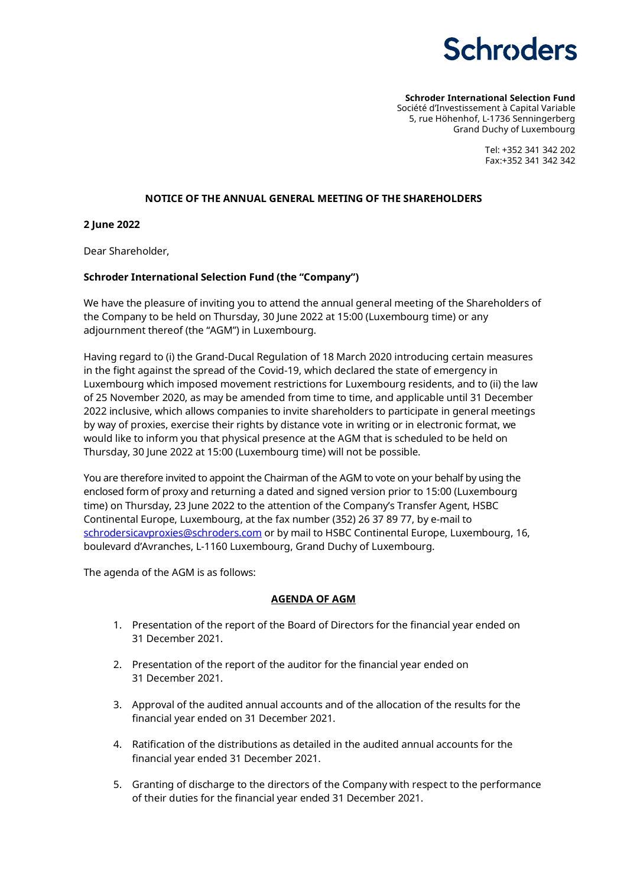**Schroder International Selection Fund** Société d'Investissement à Capital Variable 5, rue Höhenhof, L-1736 Senningerberg Grand Duchy of Luxembourg

> Tel: +352 341 342 202 Fax:+352 341 342 342

#### **NOTICE OF THE ANNUAL GENERAL MEETING OF THE SHAREHOLDERS**

**2 June 2022**

Dear Shareholder,

## **Schroder International Selection Fund (the "Company")**

We have the pleasure of inviting you to attend the annual general meeting of the Shareholders of the Company to be held on Thursday, 30 June 2022 at 15:00 (Luxembourg time) or any adjournment thereof (the "AGM") in Luxembourg.

Having regard to (i) the Grand-Ducal Regulation of 18 March 2020 introducing certain measures in the fight against the spread of the Covid-19, which declared the state of emergency in Luxembourg which imposed movement restrictions for Luxembourg residents, and to (ii) the law of 25 November 2020, as may be amended from time to time, and applicable until 31 December 2022 inclusive, which allows companies to invite shareholders to participate in general meetings by way of proxies, exercise their rights by distance vote in writing or in electronic format, we would like to inform you that physical presence at the AGM that is scheduled to be held on Thursday, 30 June 2022 at 15:00 (Luxembourg time) will not be possible.

You are therefore invited to appoint the Chairman of the AGM to vote on your behalf by using the enclosed form of proxy and returning a dated and signed version prior to 15:00 (Luxembourg time) on Thursday, 23 June 2022 to the attention of the Company's Transfer Agent, HSBC Continental Europe, Luxembourg, at the fax number (352) 26 37 89 77, by e-mail to [schrodersicavproxies@schroders.com](mailto:schrodersicavproxies@schroders.com) or by mail to HSBC Continental Europe, Luxembourg, 16, boulevard d'Avranches, L-1160 Luxembourg, Grand Duchy of Luxembourg.

The agenda of the AGM is as follows:

## **AGENDA OF AGM**

- 1. Presentation of the report of the Board of Directors for the financial year ended on 31 December 2021.
- 2. Presentation of the report of the auditor for the financial year ended on 31 December 2021.
- 3. Approval of the audited annual accounts and of the allocation of the results for the financial year ended on 31 December 2021.
- 4. Ratification of the distributions as detailed in the audited annual accounts for the financial year ended 31 December 2021.
- 5. Granting of discharge to the directors of the Company with respect to the performance of their duties for the financial year ended 31 December 2021.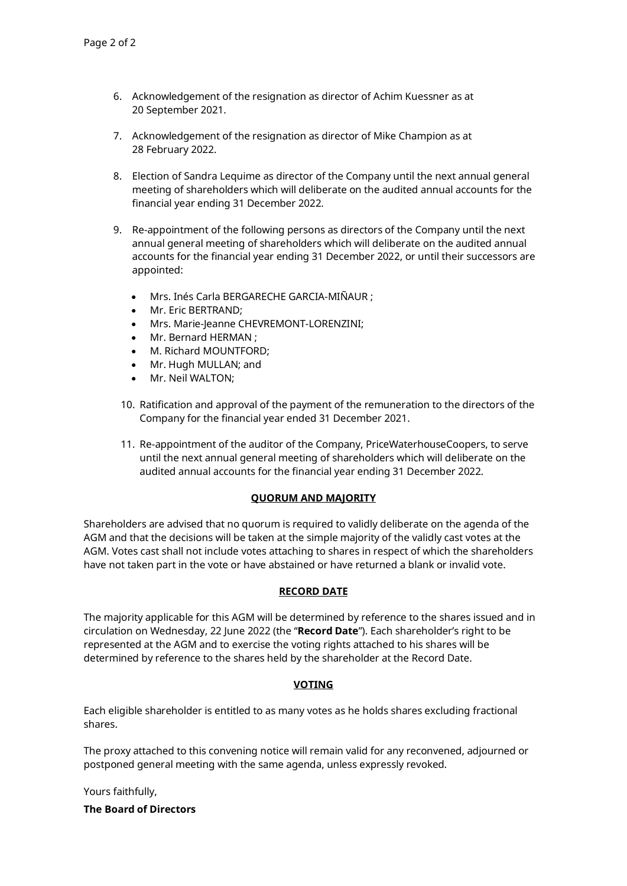- 6. Acknowledgement of the resignation as director of Achim Kuessner as at 20 September 2021.
- 7. Acknowledgement of the resignation as director of Mike Champion as at 28 February 2022.
- 8. Election of Sandra Lequime as director of the Company until the next annual general meeting of shareholders which will deliberate on the audited annual accounts for the financial year ending 31 December 2022.
- 9. Re-appointment of the following persons as directors of the Company until the next annual general meeting of shareholders which will deliberate on the audited annual accounts for the financial year ending 31 December 2022, or until their successors are appointed:
	- Mrs. Inés Carla BERGARECHE GARCIA-MIÑAUR ;
	- Mr. Eric BERTRAND;
	- Mrs. Marie-Jeanne CHEVREMONT-LORENZINI;
	- Mr. Bernard HERMAN ;
	- M. Richard MOUNTFORD;
	- Mr. Hugh MULLAN; and
	- Mr. Neil WALTON;
	- 10. Ratification and approval of the payment of the remuneration to the directors of the Company for the financial year ended 31 December 2021.
	- 11. Re-appointment of the auditor of the Company, PriceWaterhouseCoopers, to serve until the next annual general meeting of shareholders which will deliberate on the audited annual accounts for the financial year ending 31 December 2022.

#### **QUORUM AND MAJORITY**

Shareholders are advised that no quorum is required to validly deliberate on the agenda of the AGM and that the decisions will be taken at the simple majority of the validly cast votes at the AGM. Votes cast shall not include votes attaching to shares in respect of which the shareholders have not taken part in the vote or have abstained or have returned a blank or invalid vote.

#### **RECORD DATE**

The majority applicable for this AGM will be determined by reference to the shares issued and in circulation on Wednesday, 22 June 2022 (the "**Record Date**"). Each shareholder's right to be represented at the AGM and to exercise the voting rights attached to his shares will be determined by reference to the shares held by the shareholder at the Record Date.

#### **VOTING**

Each eligible shareholder is entitled to as many votes as he holds shares excluding fractional shares.

The proxy attached to this convening notice will remain valid for any reconvened, adjourned or postponed general meeting with the same agenda, unless expressly revoked.

Yours faithfully,

**The Board of Directors**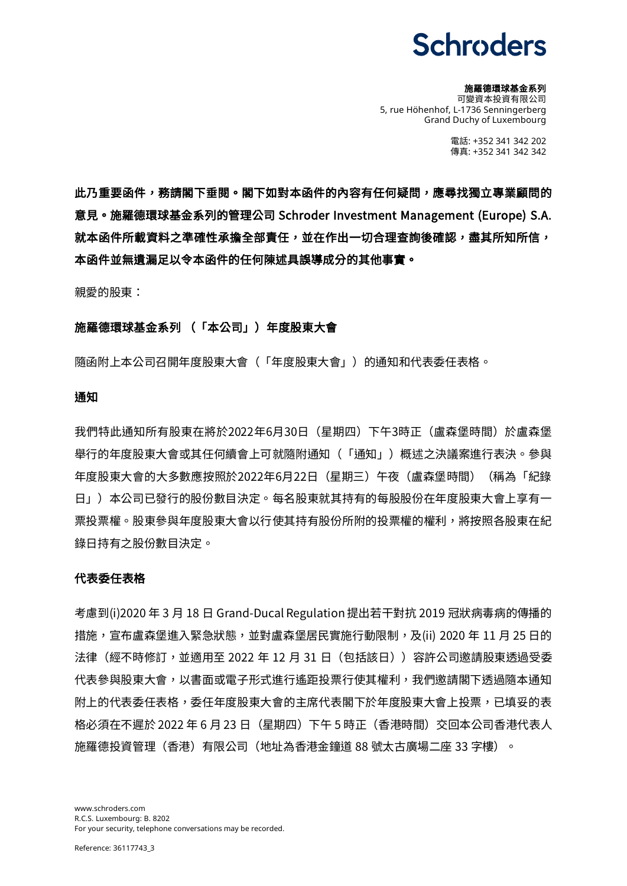#### 施羅德環球基金系列

可變資本投資有限公司 5, rue Höhenhof, L-1736 Senningerberg Grand Duchy of Luxembourg

> 電話: +352 341 342 202 傳真: +352 341 342 342

此乃重要函件,務請閣下垂閱。閣下如對本函件的內容有任何疑問,應尋找獨立專業顧問的 意見。施羅德環球基金系列的管理公司 Schroder Investment Management (Europe) S.A. 就本函件所載資料之準確性承擔全部責任,並在作出一切合理查詢後確認,盡其所知所信, 本函件並無遺漏足以令本函件的任何陳述具誤導成分的其他事實。

親愛的股東:

#### 施羅德環球基金系列 (「本公司」)年度股東大會

隨函附上本公司召開年度股東大會(「年度股東大會」)的通知和代表委任表格。

## 通知

我們特此通知所有股東在將於2022年6月30日(星期四)下午3時正(盧森堡時間)於盧森堡 舉行的年度股東大會或其任何續會上可就隨附通知(「通知」)概述之決議案進行表決。參與 年度股東大會的大多數應按照於2022年6月22日(星期三)午夜(盧森堡時間)(稱為「紀錄 日」)本公司已發行的股份數目決定。每名股東就其持有的每股股份在年度股東大會上享有一 票投票權。股東參與年度股東大會以行使其持有股份所附的投票權的權利,將按照各股東在紀 錄日持有之股份數目決定。

#### 代表委任表格

考慮到(i)2020 年 3 月 18 日 Grand-Ducal Regulation 提出若干對抗 2019 冠狀病毒病的傳播的 措施,宣布盧森堡進入緊急狀態,並對盧森堡居民實施行動限制,及(ii) 2020 年 11 月 25 日的 法律(經不時修訂,並適用至 2022 年 12 月 31 日 (包括該日)) 容許公司邀請股東透過受委 代表參與股東大會,以書面或電子形式進行遙距投票行使其權利,我們邀請閣下透過隨本通知 附上的代表委任表格,委任年度股東大會的主席代表閣下於年度股東大會上投票,已填妥的表 格必須在不遲於 2022 年 6 月 23 日(星期四)下午 5 時正(香港時間)交回本公司香港代表人 施羅德投資管理(香港)有限公司(地址為香港金鐘道 88 號太古廣場二座 33 字樓)。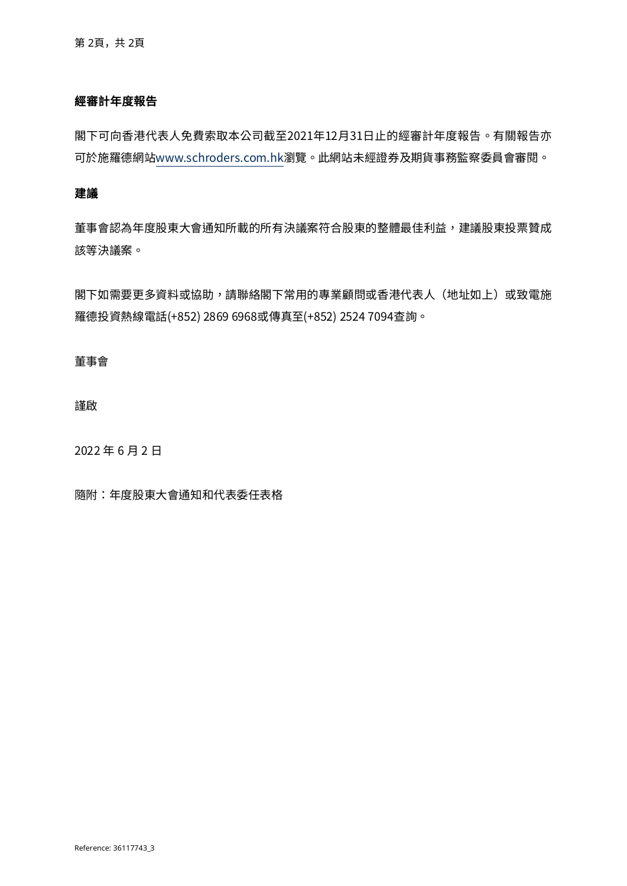## 經審計年度報告

閣下可向香港代表人免費索取本公司截至2021年12月31日止的經審計年度報告。有關報告亦 可於施羅德網[站www.schroders.com.hk瀏](http://www.schroders.com.hk/)覽。此網站未經證券及期貨事務監察委員會審閱。

## 建議

董事會認為年度股東大會通知所載的所有決議案符合股東的整體最佳利益,建議股東投票贊成 該等決議案。

閣下如需要更多資料或協助,請聯絡閣下常用的專業顧問或香港代表人(地址如上)或致雷施 羅德投資熱線電話(+852) 2869 6968或傳真至(+852) 2524 7094查詢。

#### 董事會

謹啟

2022 年 6 月 2 日

隨附:年度股東大會通知和代表委任表格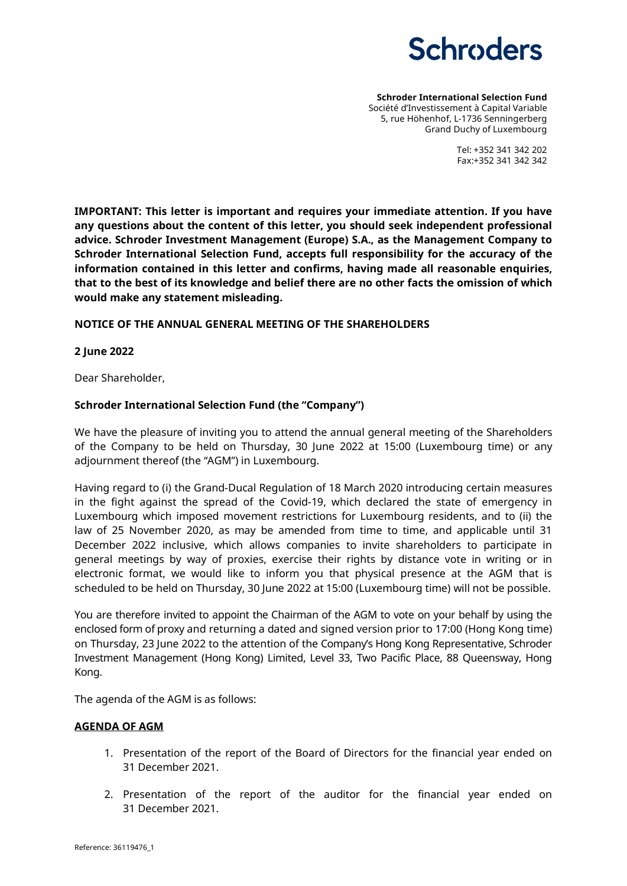

#### **Schroder International Selection Fund** Société d'Investissement à Capital Variable 5, rue Höhenhof, L-1736 Senningerberg Grand Duchy of Luxembourg

Tel: +352 341 342 202 Fax:+352 341 342 342

**IMPORTANT: This letter is important and requires your immediate attention. If you have any questions about the content of this letter, you should seek independent professional advice. Schroder Investment Management (Europe) S.A., as the Management Company to Schroder International Selection Fund, accepts full responsibility for the accuracy of the information contained in this letter and confirms, having made all reasonable enquiries, that to the best of its knowledge and belief there are no other facts the omission of which would make any statement misleading.**

## **NOTICE OF THE ANNUAL GENERAL MEETING OF THE SHAREHOLDERS**

## **2 June 2022**

Dear Shareholder,

## **Schroder International Selection Fund (the "Company")**

We have the pleasure of inviting you to attend the annual general meeting of the Shareholders of the Company to be held on Thursday, 30 June 2022 at 15:00 (Luxembourg time) or any adjournment thereof (the "AGM") in Luxembourg.

Having regard to (i) the Grand-Ducal Regulation of 18 March 2020 introducing certain measures in the fight against the spread of the Covid-19, which declared the state of emergency in Luxembourg which imposed movement restrictions for Luxembourg residents, and to (ii) the law of 25 November 2020, as may be amended from time to time, and applicable until 31 December 2022 inclusive, which allows companies to invite shareholders to participate in general meetings by way of proxies, exercise their rights by distance vote in writing or in electronic format, we would like to inform you that physical presence at the AGM that is scheduled to be held on Thursday, 30 June 2022 at 15:00 (Luxembourg time) will not be possible.

You are therefore invited to appoint the Chairman of the AGM to vote on your behalf by using the enclosed form of proxy and returning a dated and signed version prior to 17:00 (Hong Kong time) on Thursday, 23 June 2022 to the attention of the Company's Hong Kong Representative, Schroder Investment Management (Hong Kong) Limited, Level 33, Two Pacific Place, 88 Queensway, Hong Kong.

The agenda of the AGM is as follows:

## **AGENDA OF AGM**

- 1. Presentation of the report of the Board of Directors for the financial year ended on 31 December 2021.
- 2. Presentation of the report of the auditor for the financial year ended on 31 December 2021.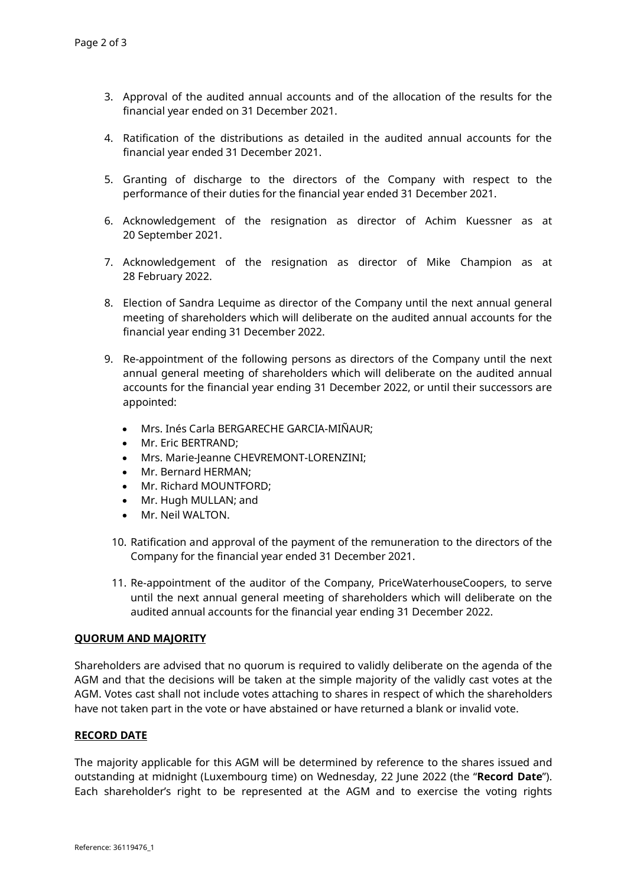- 3. Approval of the audited annual accounts and of the allocation of the results for the financial year ended on 31 December 2021.
- 4. Ratification of the distributions as detailed in the audited annual accounts for the financial year ended 31 December 2021.
- 5. Granting of discharge to the directors of the Company with respect to the performance of their duties for the financial year ended 31 December 2021.
- 6. Acknowledgement of the resignation as director of Achim Kuessner as at 20 September 2021.
- 7. Acknowledgement of the resignation as director of Mike Champion as at 28 February 2022.
- 8. Election of Sandra Lequime as director of the Company until the next annual general meeting of shareholders which will deliberate on the audited annual accounts for the financial year ending 31 December 2022.
- 9. Re-appointment of the following persons as directors of the Company until the next annual general meeting of shareholders which will deliberate on the audited annual accounts for the financial year ending 31 December 2022, or until their successors are appointed:
	- Mrs. Inés Carla BERGARECHE GARCIA-MIÑAUR;
	- Mr. Eric BERTRAND;
	- Mrs. Marie-Jeanne CHEVREMONT-LORENZINI;
	- Mr. Bernard HERMAN;
	- Mr. Richard MOUNTFORD;
	- Mr. Hugh MULLAN; and
	- Mr. Neil WALTON.
	- 10. Ratification and approval of the payment of the remuneration to the directors of the Company for the financial year ended 31 December 2021.
	- 11. Re-appointment of the auditor of the Company, PriceWaterhouseCoopers, to serve until the next annual general meeting of shareholders which will deliberate on the audited annual accounts for the financial year ending 31 December 2022.

## **QUORUM AND MAJORITY**

Shareholders are advised that no quorum is required to validly deliberate on the agenda of the AGM and that the decisions will be taken at the simple majority of the validly cast votes at the AGM. Votes cast shall not include votes attaching to shares in respect of which the shareholders have not taken part in the vote or have abstained or have returned a blank or invalid vote.

## **RECORD DATE**

The majority applicable for this AGM will be determined by reference to the shares issued and outstanding at midnight (Luxembourg time) on Wednesday, 22 June 2022 (the "**Record Date**"). Each shareholder's right to be represented at the AGM and to exercise the voting rights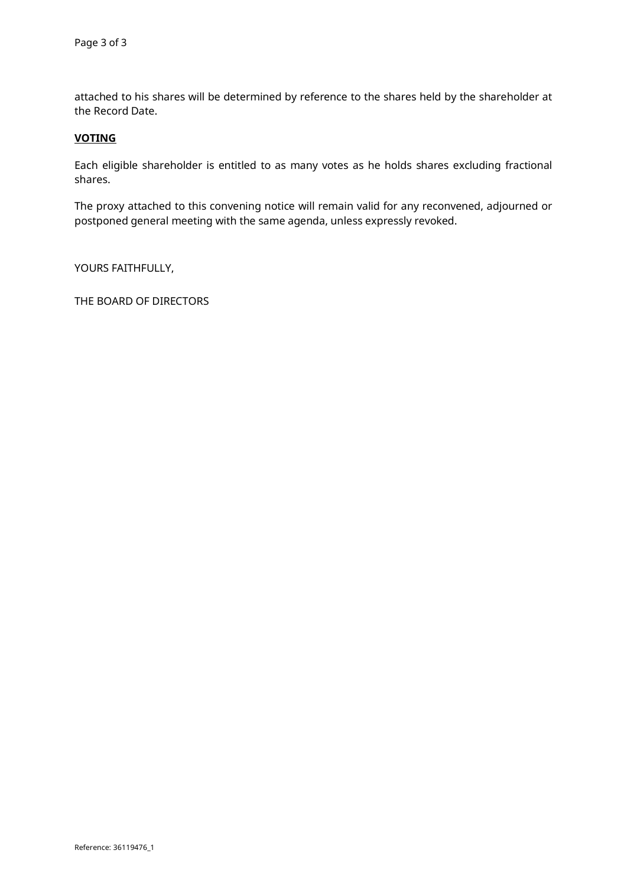attached to his shares will be determined by reference to the shares held by the shareholder at the Record Date.

## **VOTING**

Each eligible shareholder is entitled to as many votes as he holds shares excluding fractional shares.

The proxy attached to this convening notice will remain valid for any reconvened, adjourned or postponed general meeting with the same agenda, unless expressly revoked.

YOURS FAITHFULLY,

THE BOARD OF DIRECTORS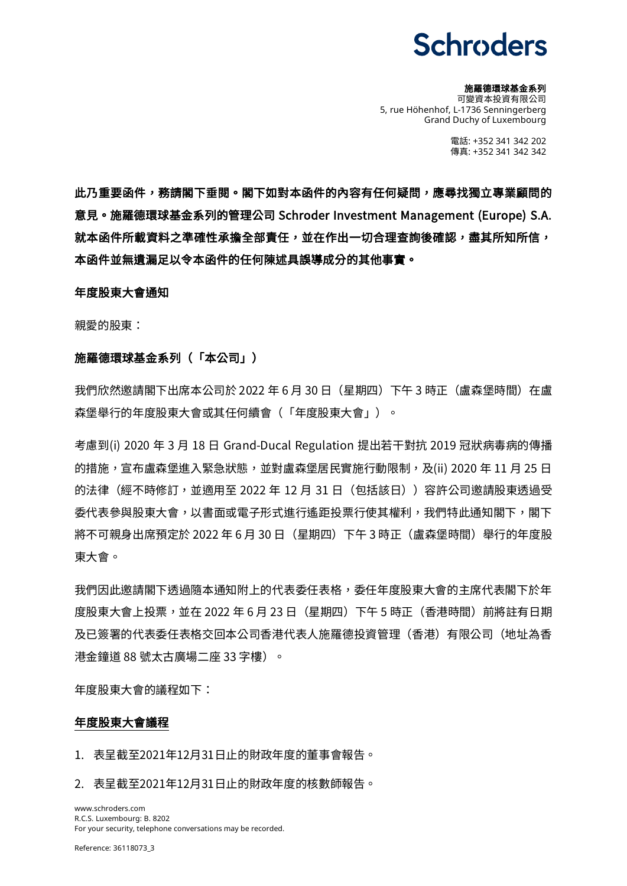#### 施羅德環球基金系列

可變資本投資有限公司 5, rue Höhenhof, L-1736 Senningerberg Grand Duchy of Luxembourg

> 電話: +352 341 342 202 傳真: +352 341 342 342

此乃重要函件,務請閣下垂閱。閣下如對本函件的內容有任何疑問,應尋找獨立專業顧問的 意見。施羅德環球基金系列的管理公司 Schroder Investment Management (Europe) S.A. 就本函件所載資料之準確性承擔全部責任,並在作出一切合理查詢後確認,盡其所知所信, 本函件並無遺漏足以令本函件的任何陳述具誤導成分的其他事實。

#### 年度股東大會通知

親愛的股東:

#### 施羅德環球基金系列(「本公司」)

我們欣然邀請閣下出席本公司於 2022 年 6 月 30 日(星期四)下午 3 時正(盧森堡時間)在盧 森堡舉行的年度股東大會或其任何續會(「年度股東大會」)。

考慮到(i) 2020 年 3 月 18 日 Grand-Ducal Regulation 提出若干對抗 2019 冠狀病毒病的傳播 的措施,宣布盧森堡進入緊急狀態,並對盧森堡居民實施行動限制,及(ii) 2020 年 11 月 25 日 的法律(經不時修訂,並適用至 2022 年 12 月 31 日 (包括該日)) 容許公司邀請股東透過受 委代表參與股東大會,以書面或電子形式進行遙距投票行使其權利,我們特此通知閣下,閣下 將不可親身出席預定於 2022 年 6 月 30 日(星期四)下午 3 時正(盧森堡時間)舉行的年度股 東大會。

我們因此邀請閣下透過隨本通知附上的代表委任表格,委任年度股東大會的主席代表閣下於年 度股東大會上投票,並在 2022 年 6 月 23 日(星期四)下午 5 時正(香港時間)前將註有日期 及已簽署的代表委任表格交回本公司香港代表人施羅德投資管理(香港)有限公司(地址為香 港金鐘道 88 號太古廣場二座 33 字樓)。

年度股東大會的議程如下:

## 年度股東大會議程

1. 表呈截至2021年12月31日止的財政年度的董事會報告。

2. 表呈截至2021年12月31日止的財政年度的核數師報告。

www.schroders.com R.C.S. Luxembourg: B. 8202 For your security, telephone conversations may be recorded.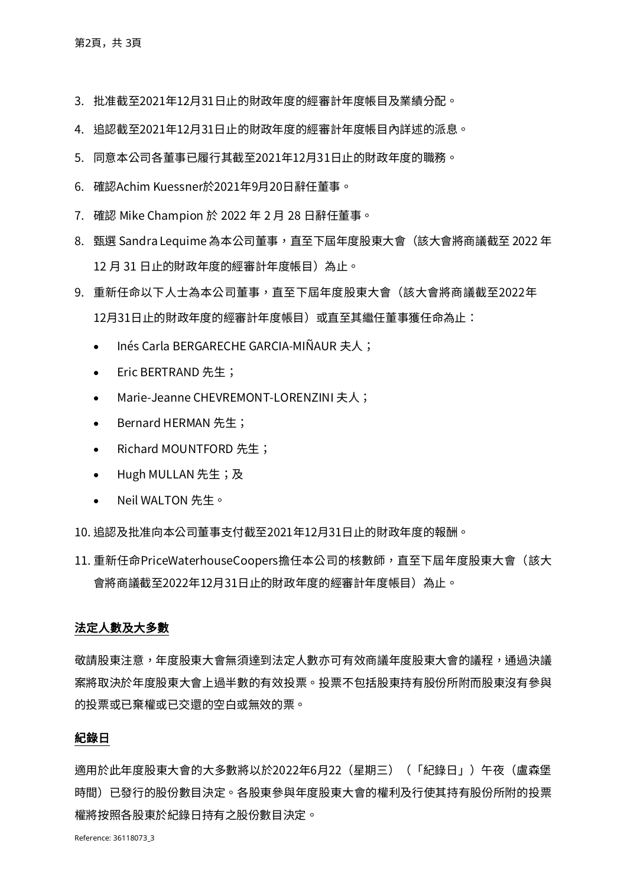- 3. 批准截至2021年12月31日止的財政年度的經審計年度帳目及業績分配。
- 4. 追認截至2021年12月31日止的財政年度的經審計年度帳目內詳述的派息。
- 5. 同意本公司各董事已履行其截至2021年12月31日止的財政年度的職務。
- 6. 確認Achim Kuessner於2021年9月20日辭任董事。
- 7. 確認 Mike Champion 於 2022 年 2 月 28 日辭任董事。
- 8. 甄選 Sandra Lequime 為本公司董事,直至下屆年度股東大會(該大會將商議截至 2022 年 12月 31日止的財政年度的經審計年度帳目)為止。
- 9. 重新任命以下人士為本公司董事,直至下屆年度股東大會(該大會將商議截至2022年 12月31日止的財政年度的經審計年度帳目)或直至其繼任董事獲任命為止:
	- Inés Carla BERGARECHE GARCIA-MIÑAUR 夫人;
	- Eric BERTRAND 先生;
	- Marie-Jeanne CHEVREMONT-LORENZINI 夫人;
	- Bernard HERMAN 先生;
	- Richard MOUNTFORD 先生;
	- Hugh MULLAN 先生;及
	- Neil WALTON 先生。
- 10. 追認及批准向本公司董事支付截至2021年12月31日止的財政年度的報酬。
- 11. 重新任命PriceWaterhouseCoopers擔任本公司的核數師, 直至下屆年度股東大會(該大 會將商議截至2022年12月31日止的財政年度的經審計年度帳目)為止。

## 法定人數及大多數

敬請股東注意,年度股東大會無須達到法定人數亦可有效商議年度股東大會的議程,通過決議 案將取決於年度股東大會上過半數的有效投票。投票不包括股東持有股份所附而股東沒有參與 的投票或已棄權或已交還的空白或無效的票。

## 紀錄日

適用於此年度股東大會的大多數將以於2022年6月22(星期三)(「紀錄日」)午夜(盧森堡 時間)已發行的股份數目決定。各股東參與年度股東大會的權利及行使其持有股份所附的投票 權將按照各股東於紀錄日持有之股份數目決定。